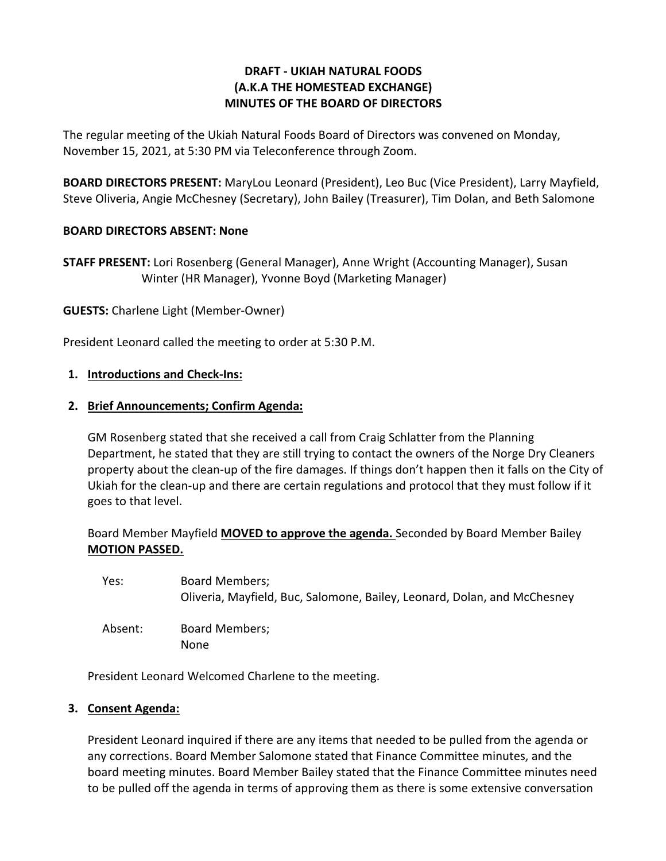## **DRAFT - UKIAH NATURAL FOODS (A.K.A THE HOMESTEAD EXCHANGE) MINUTES OF THE BOARD OF DIRECTORS**

The regular meeting of the Ukiah Natural Foods Board of Directors was convened on Monday, November 15, 2021, at 5:30 PM via Teleconference through Zoom.

**BOARD DIRECTORS PRESENT:** MaryLou Leonard (President), Leo Buc (Vice President), Larry Mayfield, Steve Oliveria, Angie McChesney (Secretary), John Bailey (Treasurer), Tim Dolan, and Beth Salomone

## **BOARD DIRECTORS ABSENT: None**

**STAFF PRESENT:** Lori Rosenberg (General Manager), Anne Wright (Accounting Manager), Susan Winter (HR Manager), Yvonne Boyd (Marketing Manager)

**GUESTS:** Charlene Light (Member-Owner)

President Leonard called the meeting to order at 5:30 P.M.

### **1. Introductions and Check-Ins:**

### **2. Brief Announcements; Confirm Agenda:**

GM Rosenberg stated that she received a call from Craig Schlatter from the Planning Department, he stated that they are still trying to contact the owners of the Norge Dry Cleaners property about the clean-up of the fire damages. If things don't happen then it falls on the City of Ukiah for the clean-up and there are certain regulations and protocol that they must follow if it goes to that level.

Board Member Mayfield **MOVED to approve the agenda.** Seconded by Board Member Bailey **MOTION PASSED.**

Yes: Board Members; Oliveria, Mayfield, Buc, Salomone, Bailey, Leonard, Dolan, and McChesney

Absent: Board Members; None

President Leonard Welcomed Charlene to the meeting.

### **3. Consent Agenda:**

President Leonard inquired if there are any items that needed to be pulled from the agenda or any corrections. Board Member Salomone stated that Finance Committee minutes, and the board meeting minutes. Board Member Bailey stated that the Finance Committee minutes need to be pulled off the agenda in terms of approving them as there is some extensive conversation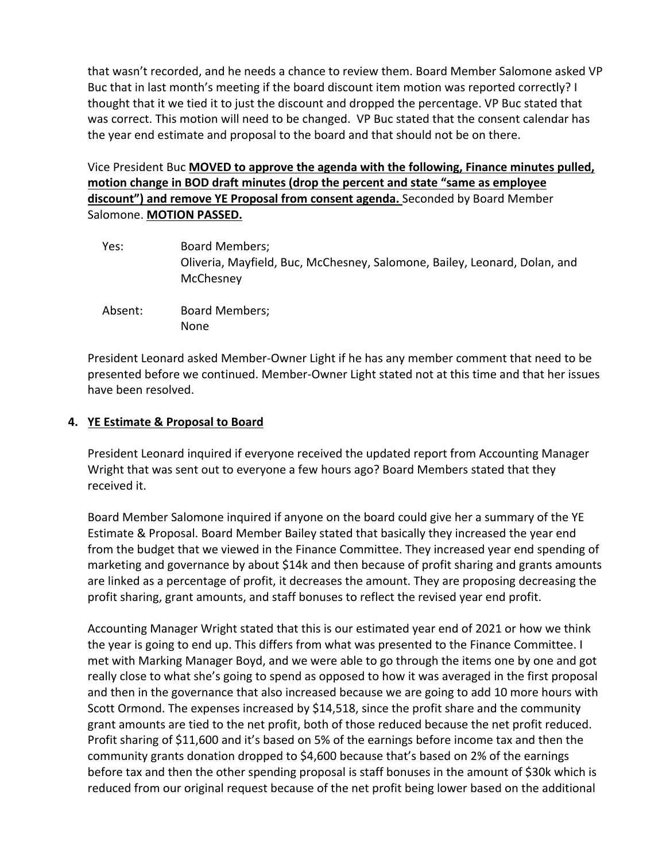that wasn't recorded, and he needs a chance to review them. Board Member Salomone asked VP Buc that in last month's meeting if the board discount item motion was reported correctly? I thought that it we tied it to just the discount and dropped the percentage. VP Buc stated that was correct. This motion will need to be changed. VP Buc stated that the consent calendar has the year end estimate and proposal to the board and that should not be on there.

Vice President Buc **MOVED to approve the agenda with the following, Finance minutes pulled, motion change in BOD draft minutes (drop the percent and state "same as employee discount") and remove YE Proposal from consent agenda.** Seconded by Board Member Salomone. **MOTION PASSED.** 

- Yes: Board Members; Oliveria, Mayfield, Buc, McChesney, Salomone, Bailey, Leonard, Dolan, and **McChesney**
- Absent: Board Members; None

President Leonard asked Member-Owner Light if he has any member comment that need to be presented before we continued. Member-Owner Light stated not at this time and that her issues have been resolved.

# **4. YE Estimate & Proposal to Board**

President Leonard inquired if everyone received the updated report from Accounting Manager Wright that was sent out to everyone a few hours ago? Board Members stated that they received it.

Board Member Salomone inquired if anyone on the board could give her a summary of the YE Estimate & Proposal. Board Member Bailey stated that basically they increased the year end from the budget that we viewed in the Finance Committee. They increased year end spending of marketing and governance by about \$14k and then because of profit sharing and grants amounts are linked as a percentage of profit, it decreases the amount. They are proposing decreasing the profit sharing, grant amounts, and staff bonuses to reflect the revised year end profit.

Accounting Manager Wright stated that this is our estimated year end of 2021 or how we think the year is going to end up. This differs from what was presented to the Finance Committee. I met with Marking Manager Boyd, and we were able to go through the items one by one and got really close to what she's going to spend as opposed to how it was averaged in the first proposal and then in the governance that also increased because we are going to add 10 more hours with Scott Ormond. The expenses increased by \$14,518, since the profit share and the community grant amounts are tied to the net profit, both of those reduced because the net profit reduced. Profit sharing of \$11,600 and it's based on 5% of the earnings before income tax and then the community grants donation dropped to \$4,600 because that's based on 2% of the earnings before tax and then the other spending proposal is staff bonuses in the amount of \$30k which is reduced from our original request because of the net profit being lower based on the additional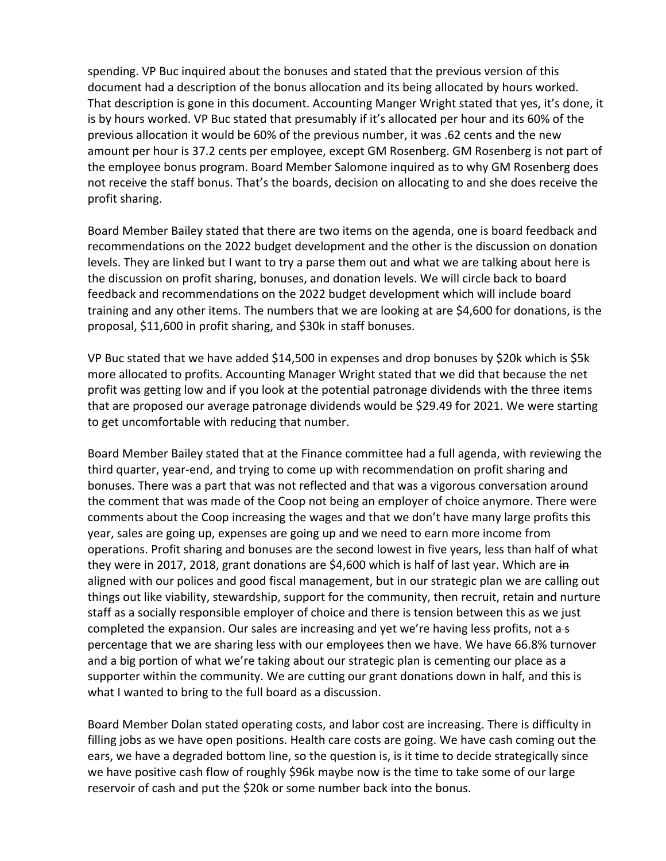spending. VP Buc inquired about the bonuses and stated that the previous version of this document had a description of the bonus allocation and its being allocated by hours worked. That description is gone in this document. Accounting Manger Wright stated that yes, it's done, it is by hours worked. VP Buc stated that presumably if it's allocated per hour and its 60% of the previous allocation it would be 60% of the previous number, it was .62 cents and the new amount per hour is 37.2 cents per employee, except GM Rosenberg. GM Rosenberg is not part of the employee bonus program. Board Member Salomone inquired as to why GM Rosenberg does not receive the staff bonus. That's the boards, decision on allocating to and she does receive the profit sharing.

Board Member Bailey stated that there are two items on the agenda, one is board feedback and recommendations on the 2022 budget development and the other is the discussion on donation levels. They are linked but I want to try a parse them out and what we are talking about here is the discussion on profit sharing, bonuses, and donation levels. We will circle back to board feedback and recommendations on the 2022 budget development which will include board training and any other items. The numbers that we are looking at are \$4,600 for donations, is the proposal, \$11,600 in profit sharing, and \$30k in staff bonuses.

VP Buc stated that we have added \$14,500 in expenses and drop bonuses by \$20k which is \$5k more allocated to profits. Accounting Manager Wright stated that we did that because the net profit was getting low and if you look at the potential patronage dividends with the three items that are proposed our average patronage dividends would be \$29.49 for 2021. We were starting to get uncomfortable with reducing that number.

Board Member Bailey stated that at the Finance committee had a full agenda, with reviewing the third quarter, year-end, and trying to come up with recommendation on profit sharing and bonuses. There was a part that was not reflected and that was a vigorous conversation around the comment that was made of the Coop not being an employer of choice anymore. There were comments about the Coop increasing the wages and that we don't have many large profits this year, sales are going up, expenses are going up and we need to earn more income from operations. Profit sharing and bonuses are the second lowest in five years, less than half of what they were in 2017, 2018, grant donations are \$4,600 which is half of last year. Which are in aligned with our polices and good fiscal management, but in our strategic plan we are calling out things out like viability, stewardship, support for the community, then recruit, retain and nurture staff as a socially responsible employer of choice and there is tension between this as we just completed the expansion. Our sales are increasing and yet we're having less profits, not  $a - s$ percentage that we are sharing less with our employees then we have. We have 66.8% turnover and a big portion of what we're taking about our strategic plan is cementing our place as a supporter within the community. We are cutting our grant donations down in half, and this is what I wanted to bring to the full board as a discussion.

Board Member Dolan stated operating costs, and labor cost are increasing. There is difficulty in filling jobs as we have open positions. Health care costs are going. We have cash coming out the ears, we have a degraded bottom line, so the question is, is it time to decide strategically since we have positive cash flow of roughly \$96k maybe now is the time to take some of our large reservoir of cash and put the \$20k or some number back into the bonus.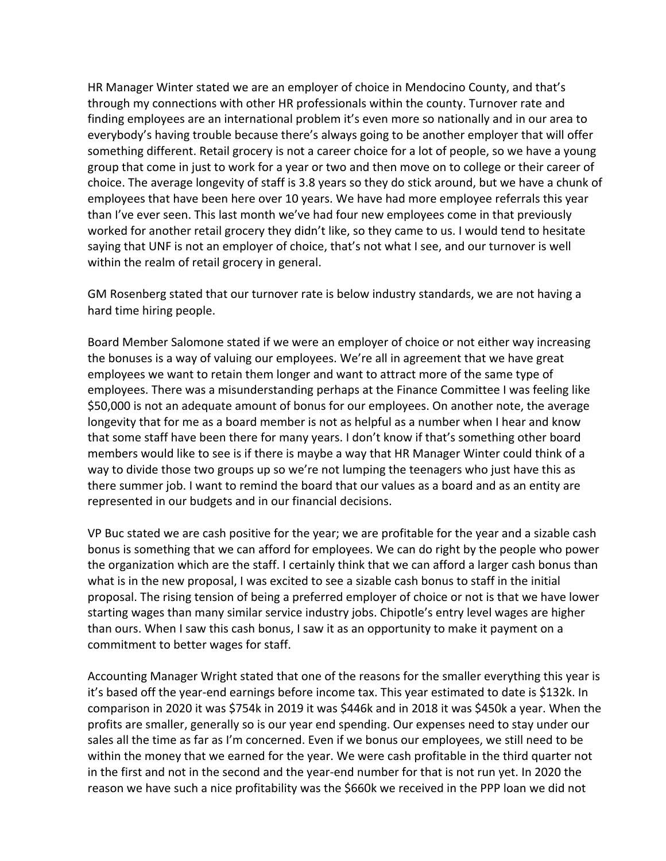HR Manager Winter stated we are an employer of choice in Mendocino County, and that's through my connections with other HR professionals within the county. Turnover rate and finding employees are an international problem it's even more so nationally and in our area to everybody's having trouble because there's always going to be another employer that will offer something different. Retail grocery is not a career choice for a lot of people, so we have a young group that come in just to work for a year or two and then move on to college or their career of choice. The average longevity of staff is 3.8 years so they do stick around, but we have a chunk of employees that have been here over 10 years. We have had more employee referrals this year than I've ever seen. This last month we've had four new employees come in that previously worked for another retail grocery they didn't like, so they came to us. I would tend to hesitate saying that UNF is not an employer of choice, that's not what I see, and our turnover is well within the realm of retail grocery in general.

GM Rosenberg stated that our turnover rate is below industry standards, we are not having a hard time hiring people.

Board Member Salomone stated if we were an employer of choice or not either way increasing the bonuses is a way of valuing our employees. We're all in agreement that we have great employees we want to retain them longer and want to attract more of the same type of employees. There was a misunderstanding perhaps at the Finance Committee I was feeling like \$50,000 is not an adequate amount of bonus for our employees. On another note, the average longevity that for me as a board member is not as helpful as a number when I hear and know that some staff have been there for many years. I don't know if that's something other board members would like to see is if there is maybe a way that HR Manager Winter could think of a way to divide those two groups up so we're not lumping the teenagers who just have this as there summer job. I want to remind the board that our values as a board and as an entity are represented in our budgets and in our financial decisions.

VP Buc stated we are cash positive for the year; we are profitable for the year and a sizable cash bonus is something that we can afford for employees. We can do right by the people who power the organization which are the staff. I certainly think that we can afford a larger cash bonus than what is in the new proposal, I was excited to see a sizable cash bonus to staff in the initial proposal. The rising tension of being a preferred employer of choice or not is that we have lower starting wages than many similar service industry jobs. Chipotle's entry level wages are higher than ours. When I saw this cash bonus, I saw it as an opportunity to make it payment on a commitment to better wages for staff.

Accounting Manager Wright stated that one of the reasons for the smaller everything this year is it's based off the year-end earnings before income tax. This year estimated to date is \$132k. In comparison in 2020 it was \$754k in 2019 it was \$446k and in 2018 it was \$450k a year. When the profits are smaller, generally so is our year end spending. Our expenses need to stay under our sales all the time as far as I'm concerned. Even if we bonus our employees, we still need to be within the money that we earned for the year. We were cash profitable in the third quarter not in the first and not in the second and the year-end number for that is not run yet. In 2020 the reason we have such a nice profitability was the \$660k we received in the PPP loan we did not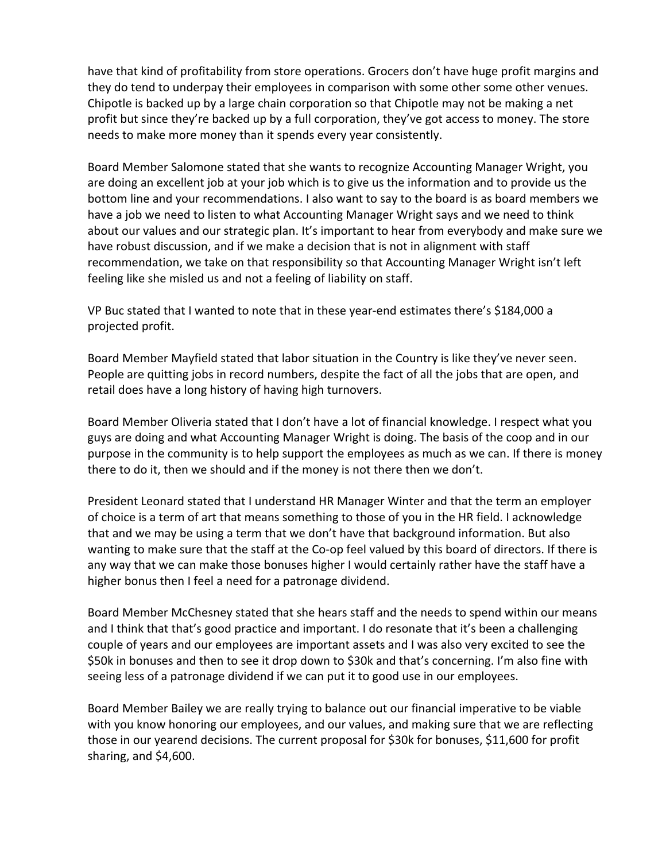have that kind of profitability from store operations. Grocers don't have huge profit margins and they do tend to underpay their employees in comparison with some other some other venues. Chipotle is backed up by a large chain corporation so that Chipotle may not be making a net profit but since they're backed up by a full corporation, they've got access to money. The store needs to make more money than it spends every year consistently.

Board Member Salomone stated that she wants to recognize Accounting Manager Wright, you are doing an excellent job at your job which is to give us the information and to provide us the bottom line and your recommendations. I also want to say to the board is as board members we have a job we need to listen to what Accounting Manager Wright says and we need to think about our values and our strategic plan. It's important to hear from everybody and make sure we have robust discussion, and if we make a decision that is not in alignment with staff recommendation, we take on that responsibility so that Accounting Manager Wright isn't left feeling like she misled us and not a feeling of liability on staff.

VP Buc stated that I wanted to note that in these year-end estimates there's \$184,000 a projected profit.

Board Member Mayfield stated that labor situation in the Country is like they've never seen. People are quitting jobs in record numbers, despite the fact of all the jobs that are open, and retail does have a long history of having high turnovers.

Board Member Oliveria stated that I don't have a lot of financial knowledge. I respect what you guys are doing and what Accounting Manager Wright is doing. The basis of the coop and in our purpose in the community is to help support the employees as much as we can. If there is money there to do it, then we should and if the money is not there then we don't.

President Leonard stated that I understand HR Manager Winter and that the term an employer of choice is a term of art that means something to those of you in the HR field. I acknowledge that and we may be using a term that we don't have that background information. But also wanting to make sure that the staff at the Co-op feel valued by this board of directors. If there is any way that we can make those bonuses higher I would certainly rather have the staff have a higher bonus then I feel a need for a patronage dividend.

Board Member McChesney stated that she hears staff and the needs to spend within our means and I think that that's good practice and important. I do resonate that it's been a challenging couple of years and our employees are important assets and I was also very excited to see the \$50k in bonuses and then to see it drop down to \$30k and that's concerning. I'm also fine with seeing less of a patronage dividend if we can put it to good use in our employees.

Board Member Bailey we are really trying to balance out our financial imperative to be viable with you know honoring our employees, and our values, and making sure that we are reflecting those in our yearend decisions. The current proposal for \$30k for bonuses, \$11,600 for profit sharing, and \$4,600.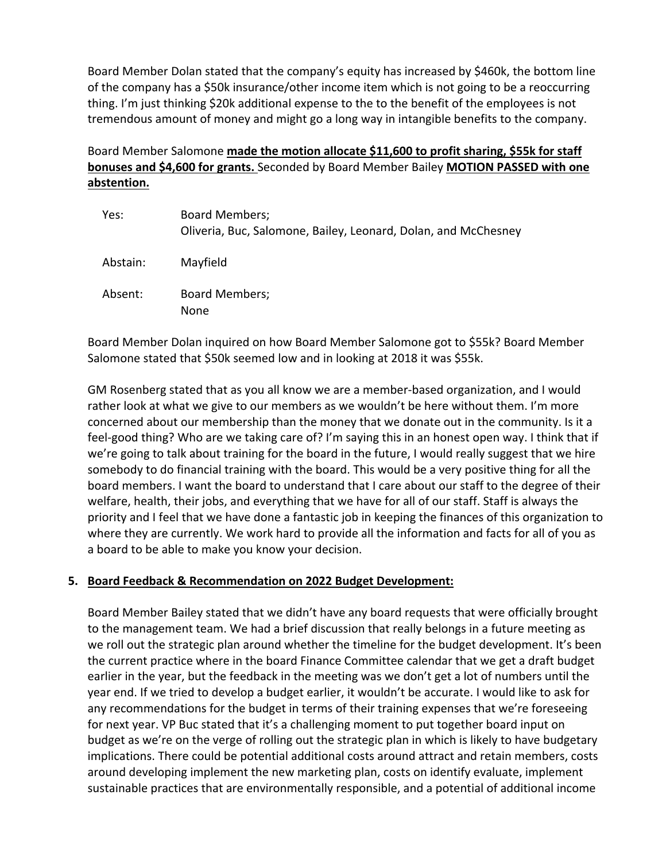Board Member Dolan stated that the company's equity has increased by \$460k, the bottom line of the company has a \$50k insurance/other income item which is not going to be a reoccurring thing. I'm just thinking \$20k additional expense to the to the benefit of the employees is not tremendous amount of money and might go a long way in intangible benefits to the company.

# Board Member Salomone **made the motion allocate \$11,600 to profit sharing, \$55k for staff bonuses and \$4,600 for grants.** Seconded by Board Member Bailey **MOTION PASSED with one abstention.**

| Yes:     | <b>Board Members;</b><br>Oliveria, Buc, Salomone, Bailey, Leonard, Dolan, and McChesney |
|----------|-----------------------------------------------------------------------------------------|
| Abstain: | Mayfield                                                                                |
| Absent:  | <b>Board Members;</b><br>None                                                           |

Board Member Dolan inquired on how Board Member Salomone got to \$55k? Board Member Salomone stated that \$50k seemed low and in looking at 2018 it was \$55k.

GM Rosenberg stated that as you all know we are a member-based organization, and I would rather look at what we give to our members as we wouldn't be here without them. I'm more concerned about our membership than the money that we donate out in the community. Is it a feel-good thing? Who are we taking care of? I'm saying this in an honest open way. I think that if we're going to talk about training for the board in the future, I would really suggest that we hire somebody to do financial training with the board. This would be a very positive thing for all the board members. I want the board to understand that I care about our staff to the degree of their welfare, health, their jobs, and everything that we have for all of our staff. Staff is always the priority and I feel that we have done a fantastic job in keeping the finances of this organization to where they are currently. We work hard to provide all the information and facts for all of you as a board to be able to make you know your decision.

## **5. Board Feedback & Recommendation on 2022 Budget Development:**

Board Member Bailey stated that we didn't have any board requests that were officially brought to the management team. We had a brief discussion that really belongs in a future meeting as we roll out the strategic plan around whether the timeline for the budget development. It's been the current practice where in the board Finance Committee calendar that we get a draft budget earlier in the year, but the feedback in the meeting was we don't get a lot of numbers until the year end. If we tried to develop a budget earlier, it wouldn't be accurate. I would like to ask for any recommendations for the budget in terms of their training expenses that we're foreseeing for next year. VP Buc stated that it's a challenging moment to put together board input on budget as we're on the verge of rolling out the strategic plan in which is likely to have budgetary implications. There could be potential additional costs around attract and retain members, costs around developing implement the new marketing plan, costs on identify evaluate, implement sustainable practices that are environmentally responsible, and a potential of additional income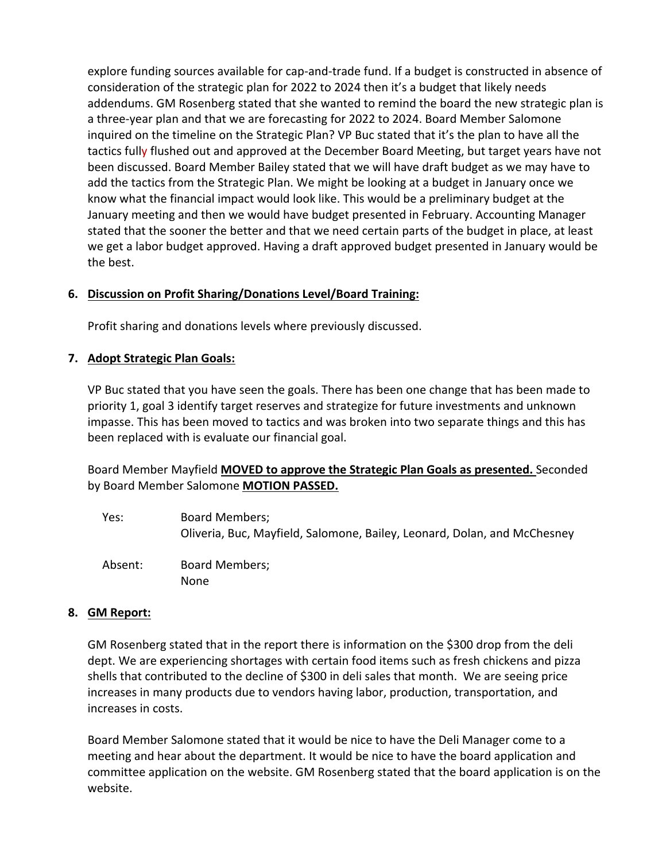explore funding sources available for cap-and-trade fund. If a budget is constructed in absence of consideration of the strategic plan for 2022 to 2024 then it's a budget that likely needs addendums. GM Rosenberg stated that she wanted to remind the board the new strategic plan is a three-year plan and that we are forecasting for 2022 to 2024. Board Member Salomone inquired on the timeline on the Strategic Plan? VP Buc stated that it's the plan to have all the tactics fully flushed out and approved at the December Board Meeting, but target years have not been discussed. Board Member Bailey stated that we will have draft budget as we may have to add the tactics from the Strategic Plan. We might be looking at a budget in January once we know what the financial impact would look like. This would be a preliminary budget at the January meeting and then we would have budget presented in February. Accounting Manager stated that the sooner the better and that we need certain parts of the budget in place, at least we get a labor budget approved. Having a draft approved budget presented in January would be the best.

## **6. Discussion on Profit Sharing/Donations Level/Board Training:**

Profit sharing and donations levels where previously discussed.

## **7. Adopt Strategic Plan Goals:**

VP Buc stated that you have seen the goals. There has been one change that has been made to priority 1, goal 3 identify target reserves and strategize for future investments and unknown impasse. This has been moved to tactics and was broken into two separate things and this has been replaced with is evaluate our financial goal.

Board Member Mayfield **MOVED to approve the Strategic Plan Goals as presented.** Seconded by Board Member Salomone **MOTION PASSED.**

Yes: Board Members; Oliveria, Buc, Mayfield, Salomone, Bailey, Leonard, Dolan, and McChesney Absent: Board Members; None

### **8. GM Report:**

GM Rosenberg stated that in the report there is information on the \$300 drop from the deli dept. We are experiencing shortages with certain food items such as fresh chickens and pizza shells that contributed to the decline of \$300 in deli sales that month. We are seeing price increases in many products due to vendors having labor, production, transportation, and increases in costs.

Board Member Salomone stated that it would be nice to have the Deli Manager come to a meeting and hear about the department. It would be nice to have the board application and committee application on the website. GM Rosenberg stated that the board application is on the website.